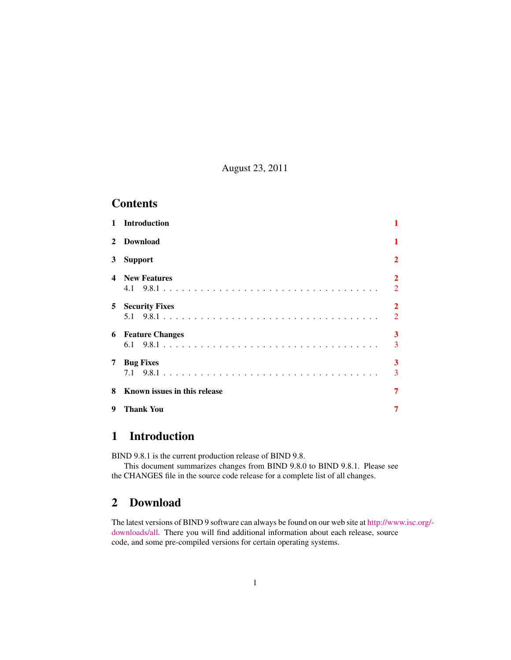August 23, 2011

# **Contents**

| $\mathbf{1}$   | <b>Introduction</b>          | 1                                |
|----------------|------------------------------|----------------------------------|
| $2^{\circ}$    | <b>Download</b>              | 1                                |
| 3              | <b>Support</b>               | $\overline{2}$                   |
| 4              | <b>New Features</b>          | $\overline{2}$<br>$\overline{2}$ |
| 5 <sup>1</sup> | <b>Security Fixes</b>        | $\overline{2}$<br>$\overline{2}$ |
|                | <b>6</b> Feature Changes     | 3<br>3                           |
| 7              | <b>Bug Fixes</b>             | 3<br>3                           |
| 8              | Known issues in this release | $\overline{7}$                   |
| 9              | <b>Thank You</b>             | 7                                |

# <span id="page-0-0"></span>1 Introduction

BIND 9.8.1 is the current production release of BIND 9.8.

This document summarizes changes from BIND 9.8.0 to BIND 9.8.1. Please see the CHANGES file in the source code release for a complete list of all changes.

# <span id="page-0-1"></span>2 Download

The latest versions of BIND 9 software can always be found on our web site at [http://ww](http://www.isc.org/downloads/all)w.isc.org/ [downloads/all.](http://www.isc.org/downloads/all) There you will find additional information about each release, source code, and some pre-compiled versions for certain operating systems.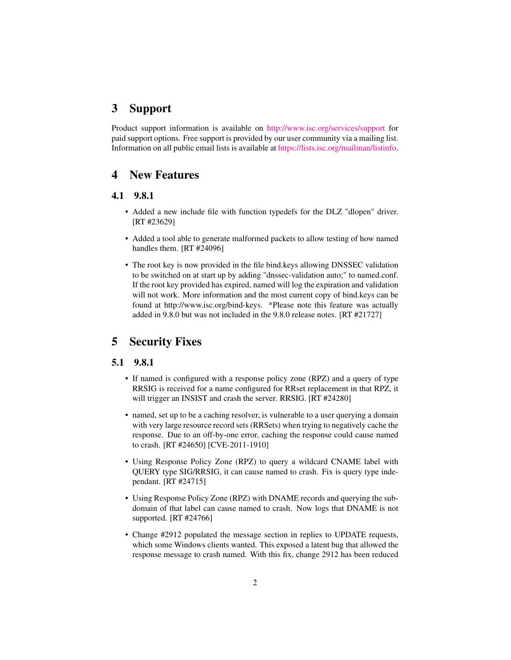# <span id="page-1-0"></span>3 Support

Product support information is available on <http://www.isc.org/services/support> for paid support options. Free support is provided by our user community via a mailing list. Information on all public email lists is available at [https://lists.isc.org/mailman/listinfo.](https://lists.isc.org/mailman/listinfo)

### <span id="page-1-1"></span>4 New Features

#### <span id="page-1-2"></span>4.1 9.8.1

- Added a new include file with function typedefs for the DLZ "dlopen" driver. [RT #23629]
- Added a tool able to generate malformed packets to allow testing of how named handles them. [RT #24096]
- The root key is now provided in the file bind.keys allowing DNSSEC validation to be switched on at start up by adding "dnssec-validation auto;" to named.conf. If the root key provided has expired, named will log the expiration and validation will not work. More information and the most current copy of bind.keys can be found at http://www.isc.org/bind-keys. \*Please note this feature was actually added in 9.8.0 but was not included in the 9.8.0 release notes. [RT #21727]

### <span id="page-1-3"></span>5 Security Fixes

#### <span id="page-1-4"></span>5.1 9.8.1

- If named is configured with a response policy zone (RPZ) and a query of type RRSIG is received for a name configured for RRset replacement in that RPZ, it will trigger an INSIST and crash the server. RRSIG. [RT #24280]
- named, set up to be a caching resolver, is vulnerable to a user querying a domain with very large resource record sets (RRSets) when trying to negatively cache the response. Due to an off-by-one error, caching the response could cause named to crash. [RT #24650] [CVE-2011-1910]
- Using Response Policy Zone (RPZ) to query a wildcard CNAME label with QUERY type SIG/RRSIG, it can cause named to crash. Fix is query type independant. [RT #24715]
- Using Response Policy Zone (RPZ) with DNAME records and querying the subdomain of that label can cause named to crash. Now logs that DNAME is not supported. [RT #24766]
- Change #2912 populated the message section in replies to UPDATE requests, which some Windows clients wanted. This exposed a latent bug that allowed the response message to crash named. With this fix, change 2912 has been reduced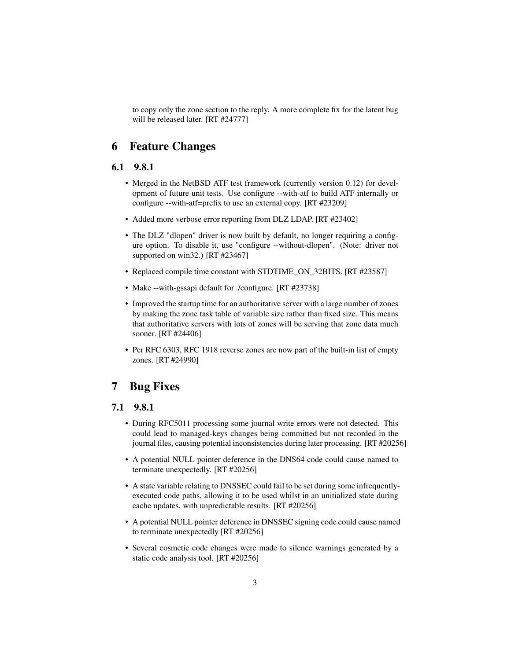to copy only the zone section to the reply. A more complete fix for the latent bug will be released later. [RT #24777]

# <span id="page-2-0"></span>6 Feature Changes

#### <span id="page-2-1"></span>6.1 9.8.1

- Merged in the NetBSD ATF test framework (currently version 0.12) for development of future unit tests. Use configure --with-atf to build ATF internally or configure --with-atf=prefix to use an external copy. [RT #23209]
- Added more verbose error reporting from DLZ LDAP. [RT #23402]
- The DLZ "dlopen" driver is now built by default, no longer requiring a configure option. To disable it, use "configure --without-dlopen". (Note: driver not supported on win32.) [RT #23467]
- Replaced compile time constant with STDTIME\_ON\_32BITS. [RT #23587]
- Make --with-gssapi default for ./configure. [RT #23738]
- Improved the startup time for an authoritative server with a large number of zones by making the zone task table of variable size rather than fixed size. This means that authoritative servers with lots of zones will be serving that zone data much sooner. [RT #24406]
- Per RFC 6303, RFC 1918 reverse zones are now part of the built-in list of empty zones. [RT #24990]

# <span id="page-2-2"></span>7 Bug Fixes

#### <span id="page-2-3"></span>7.1 9.8.1

- During RFC5011 processing some journal write errors were not detected. This could lead to managed-keys changes being committed but not recorded in the journal files, causing potential inconsistencies during later processing. [RT #20256]
- A potential NULL pointer deference in the DNS64 code could cause named to terminate unexpectedly. [RT #20256]
- A state variable relating to DNSSEC could fail to be set during some infrequentlyexecuted code paths, allowing it to be used whilst in an unitialized state during cache updates, with unpredictable results. [RT #20256]
- A potential NULL pointer deference in DNSSEC signing code could cause named to terminate unexpectedly [RT #20256]
- Several cosmetic code changes were made to silence warnings generated by a static code analysis tool. [RT #20256]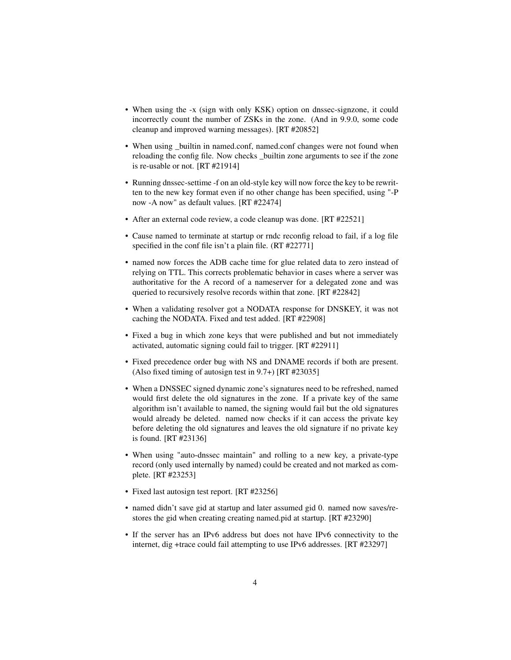- When using the -x (sign with only KSK) option on dnssec-signzone, it could incorrectly count the number of ZSKs in the zone. (And in 9.9.0, some code cleanup and improved warning messages). [RT #20852]
- When using \_builtin in named.conf, named.conf changes were not found when reloading the config file. Now checks \_builtin zone arguments to see if the zone is re-usable or not. [RT #21914]
- Running dnssec-settime -f on an old-style key will now force the key to be rewritten to the new key format even if no other change has been specified, using "-P now -A now" as default values. [RT #22474]
- After an external code review, a code cleanup was done. [RT #22521]
- Cause named to terminate at startup or rndc reconfig reload to fail, if a log file specified in the conf file isn't a plain file. (RT #22771]
- named now forces the ADB cache time for glue related data to zero instead of relying on TTL. This corrects problematic behavior in cases where a server was authoritative for the A record of a nameserver for a delegated zone and was queried to recursively resolve records within that zone. [RT #22842]
- When a validating resolver got a NODATA response for DNSKEY, it was not caching the NODATA. Fixed and test added. [RT #22908]
- Fixed a bug in which zone keys that were published and but not immediately activated, automatic signing could fail to trigger. [RT #22911]
- Fixed precedence order bug with NS and DNAME records if both are present. (Also fixed timing of autosign test in 9.7+) [RT #23035]
- When a DNSSEC signed dynamic zone's signatures need to be refreshed, named would first delete the old signatures in the zone. If a private key of the same algorithm isn't available to named, the signing would fail but the old signatures would already be deleted. named now checks if it can access the private key before deleting the old signatures and leaves the old signature if no private key is found. [RT #23136]
- When using "auto-dnssec maintain" and rolling to a new key, a private-type record (only used internally by named) could be created and not marked as complete. [RT #23253]
- Fixed last autosign test report. [RT #23256]
- named didn't save gid at startup and later assumed gid 0. named now saves/restores the gid when creating creating named.pid at startup. [RT #23290]
- If the server has an IPv6 address but does not have IPv6 connectivity to the internet, dig +trace could fail attempting to use IPv6 addresses. [RT #23297]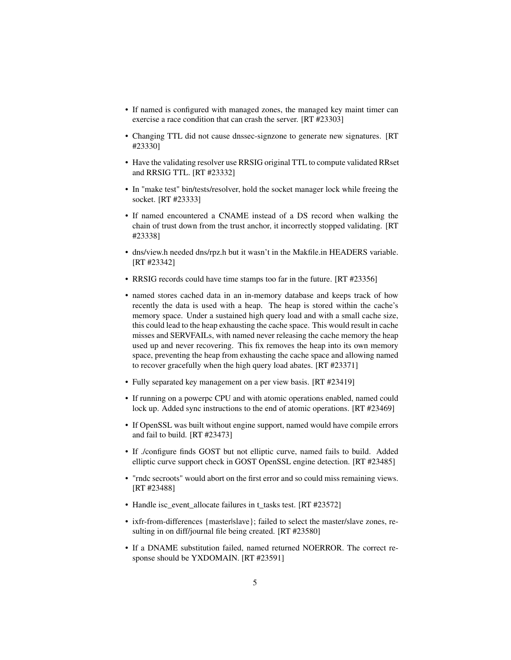- If named is configured with managed zones, the managed key maint timer can exercise a race condition that can crash the server. [RT #23303]
- Changing TTL did not cause dnssec-signzone to generate new signatures. [RT #23330]
- Have the validating resolver use RRSIG original TTL to compute validated RRset and RRSIG TTL. [RT #23332]
- In "make test" bin/tests/resolver, hold the socket manager lock while freeing the socket. [RT #23333]
- If named encountered a CNAME instead of a DS record when walking the chain of trust down from the trust anchor, it incorrectly stopped validating. [RT #23338]
- dns/view.h needed dns/rpz.h but it wasn't in the Makfile.in HEADERS variable. [RT #23342]
- RRSIG records could have time stamps too far in the future. [RT #23356]
- named stores cached data in an in-memory database and keeps track of how recently the data is used with a heap. The heap is stored within the cache's memory space. Under a sustained high query load and with a small cache size, this could lead to the heap exhausting the cache space. This would result in cache misses and SERVFAILs, with named never releasing the cache memory the heap used up and never recovering. This fix removes the heap into its own memory space, preventing the heap from exhausting the cache space and allowing named to recover gracefully when the high query load abates. [RT #23371]
- Fully separated key management on a per view basis. [RT #23419]
- If running on a powerpc CPU and with atomic operations enabled, named could lock up. Added sync instructions to the end of atomic operations. [RT #23469]
- If OpenSSL was built without engine support, named would have compile errors and fail to build. [RT #23473]
- If ./configure finds GOST but not elliptic curve, named fails to build. Added elliptic curve support check in GOST OpenSSL engine detection. [RT #23485]
- "rndc secroots" would abort on the first error and so could miss remaining views. [RT #23488]
- Handle isc\_event\_allocate failures in t\_tasks test. [RT #23572]
- ixfr-from-differences {master|slave}; failed to select the master/slave zones, resulting in on diff/journal file being created. [RT #23580]
- If a DNAME substitution failed, named returned NOERROR. The correct response should be YXDOMAIN. [RT #23591]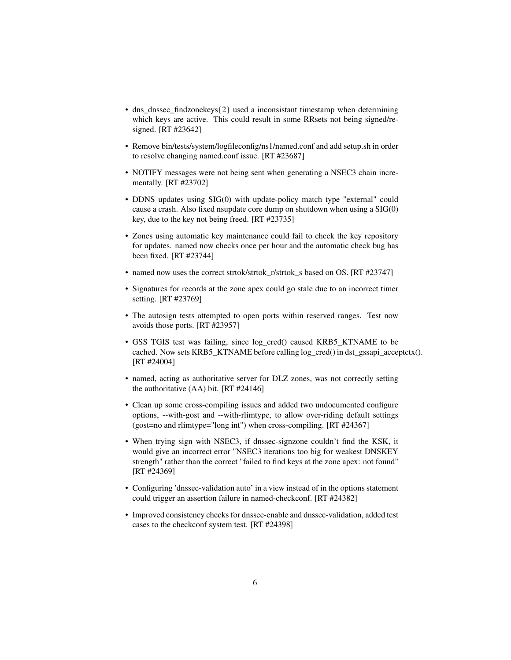- dns\_dnssec\_findzonekeys{2} used a inconsistant timestamp when determining which keys are active. This could result in some RRsets not being signed/resigned. [RT #23642]
- Remove bin/tests/system/logfileconfig/ns1/named.conf and add setup.sh in order to resolve changing named.conf issue. [RT #23687]
- NOTIFY messages were not being sent when generating a NSEC3 chain incrementally. [RT #23702]
- DDNS updates using SIG(0) with update-policy match type "external" could cause a crash. Also fixed nsupdate core dump on shutdown when using a SIG(0) key, due to the key not being freed. [RT #23735]
- Zones using automatic key maintenance could fail to check the key repository for updates. named now checks once per hour and the automatic check bug has been fixed. [RT #23744]
- named now uses the correct strtok/strtok r/strtok s based on OS. [RT #23747]
- Signatures for records at the zone apex could go stale due to an incorrect timer setting. [RT #23769]
- The autosign tests attempted to open ports within reserved ranges. Test now avoids those ports. [RT #23957]
- GSS TGIS test was failing, since log\_cred() caused KRB5\_KTNAME to be cached. Now sets KRB5\_KTNAME before calling log\_cred() in dst\_gssapi\_acceptctx(). [RT #24004]
- named, acting as authoritative server for DLZ zones, was not correctly setting the authoritative (AA) bit. [RT #24146]
- Clean up some cross-compiling issues and added two undocumented configure options, --with-gost and --with-rlimtype, to allow over-riding default settings (gost=no and rlimtype="long int") when cross-compiling. [RT #24367]
- When trying sign with NSEC3, if dnssec-signzone couldn't find the KSK, it would give an incorrect error "NSEC3 iterations too big for weakest DNSKEY strength" rather than the correct "failed to find keys at the zone apex: not found" [RT #24369]
- Configuring 'dnssec-validation auto' in a view instead of in the options statement could trigger an assertion failure in named-checkconf. [RT #24382]
- Improved consistency checks for dnssec-enable and dnssec-validation, added test cases to the checkconf system test. [RT #24398]